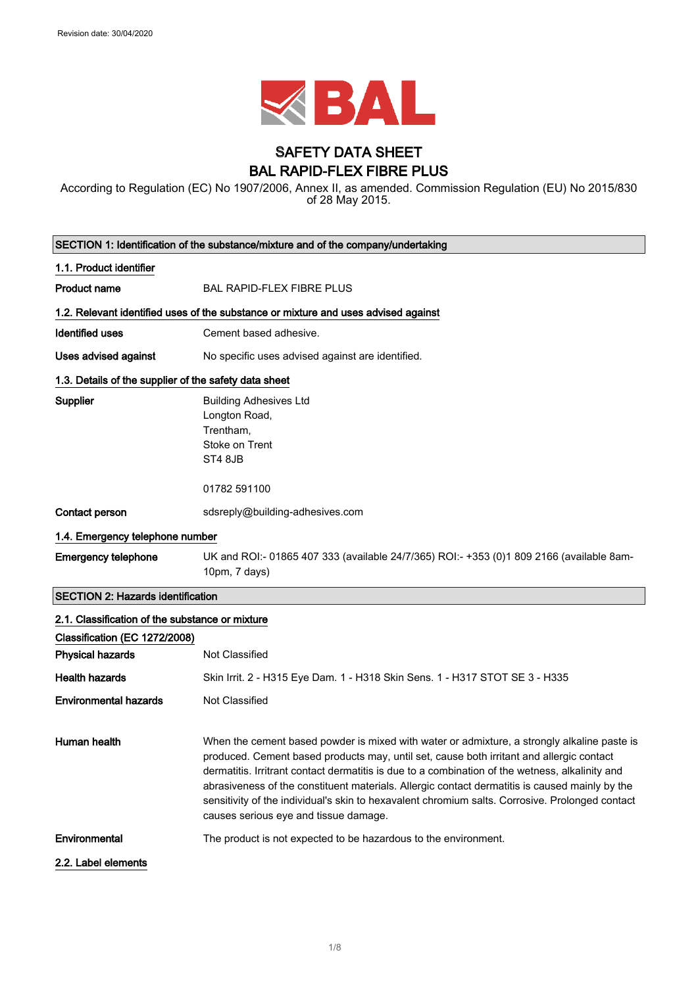

### SAFETY DATA SHEET BAL RAPID-FLEX FIBRE PLUS

According to Regulation (EC) No 1907/2006, Annex II, as amended. Commission Regulation (EU) No 2015/830 of 28 May 2015.

| SECTION 1: Identification of the substance/mixture and of the company/undertaking |                                                                                                                                                                                                                                                                                                                                                                                                                                                                                                                                          |
|-----------------------------------------------------------------------------------|------------------------------------------------------------------------------------------------------------------------------------------------------------------------------------------------------------------------------------------------------------------------------------------------------------------------------------------------------------------------------------------------------------------------------------------------------------------------------------------------------------------------------------------|
| 1.1. Product identifier                                                           |                                                                                                                                                                                                                                                                                                                                                                                                                                                                                                                                          |
| <b>Product name</b>                                                               | <b>BAL RAPID-FLEX FIBRE PLUS</b>                                                                                                                                                                                                                                                                                                                                                                                                                                                                                                         |
|                                                                                   | 1.2. Relevant identified uses of the substance or mixture and uses advised against                                                                                                                                                                                                                                                                                                                                                                                                                                                       |
| <b>Identified uses</b>                                                            | Cement based adhesive.                                                                                                                                                                                                                                                                                                                                                                                                                                                                                                                   |
| <b>Uses advised against</b>                                                       | No specific uses advised against are identified.                                                                                                                                                                                                                                                                                                                                                                                                                                                                                         |
| 1.3. Details of the supplier of the safety data sheet                             |                                                                                                                                                                                                                                                                                                                                                                                                                                                                                                                                          |
| Supplier                                                                          | <b>Building Adhesives Ltd</b><br>Longton Road,<br>Trentham,<br>Stoke on Trent<br>ST4 8JB<br>01782 591100                                                                                                                                                                                                                                                                                                                                                                                                                                 |
| Contact person                                                                    | sdsreply@building-adhesives.com                                                                                                                                                                                                                                                                                                                                                                                                                                                                                                          |
| 1.4. Emergency telephone number                                                   |                                                                                                                                                                                                                                                                                                                                                                                                                                                                                                                                          |
| <b>Emergency telephone</b>                                                        | UK and ROI:- 01865 407 333 (available 24/7/365) ROI:- +353 (0)1 809 2166 (available 8am-<br>10pm, 7 days)                                                                                                                                                                                                                                                                                                                                                                                                                                |
| <b>SECTION 2: Hazards identification</b>                                          |                                                                                                                                                                                                                                                                                                                                                                                                                                                                                                                                          |
| 2.1. Classification of the substance or mixture<br>Classification (EC 1272/2008)  |                                                                                                                                                                                                                                                                                                                                                                                                                                                                                                                                          |
| <b>Physical hazards</b>                                                           | Not Classified                                                                                                                                                                                                                                                                                                                                                                                                                                                                                                                           |
| <b>Health hazards</b>                                                             | Skin Irrit. 2 - H315 Eye Dam. 1 - H318 Skin Sens. 1 - H317 STOT SE 3 - H335                                                                                                                                                                                                                                                                                                                                                                                                                                                              |
| <b>Environmental hazards</b>                                                      | Not Classified                                                                                                                                                                                                                                                                                                                                                                                                                                                                                                                           |
| Human health                                                                      | When the cement based powder is mixed with water or admixture, a strongly alkaline paste is<br>produced. Cement based products may, until set, cause both irritant and allergic contact<br>dermatitis. Irritrant contact dermatitis is due to a combination of the wetness, alkalinity and<br>abrasiveness of the constituent materials. Allergic contact dermatitis is caused mainly by the<br>sensitivity of the individual's skin to hexavalent chromium salts. Corrosive. Prolonged contact<br>causes serious eye and tissue damage. |
| Environmental                                                                     | The product is not expected to be hazardous to the environment.                                                                                                                                                                                                                                                                                                                                                                                                                                                                          |
| 2.2. Label elements                                                               |                                                                                                                                                                                                                                                                                                                                                                                                                                                                                                                                          |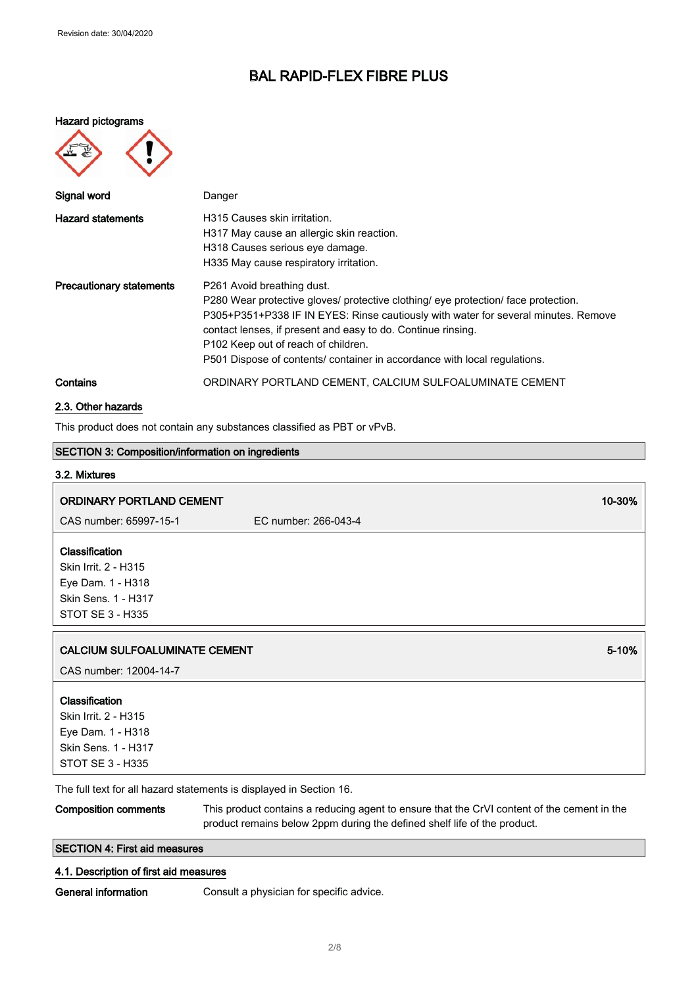#### Hazard pictograms



| Signal word                     | Danger                                                                                                                                                                                                                                                                                                                                                                                                 |
|---------------------------------|--------------------------------------------------------------------------------------------------------------------------------------------------------------------------------------------------------------------------------------------------------------------------------------------------------------------------------------------------------------------------------------------------------|
| <b>Hazard statements</b>        | H315 Causes skin irritation.<br>H317 May cause an allergic skin reaction.<br>H318 Causes serious eye damage.<br>H335 May cause respiratory irritation.                                                                                                                                                                                                                                                 |
| <b>Precautionary statements</b> | P261 Avoid breathing dust.<br>P280 Wear protective gloves/ protective clothing/ eye protection/ face protection.<br>P305+P351+P338 IF IN EYES: Rinse cautiously with water for several minutes. Remove<br>contact lenses, if present and easy to do. Continue rinsing.<br>P <sub>102</sub> Keep out of reach of children.<br>P501 Dispose of contents/ container in accordance with local regulations. |
| Contains                        | ORDINARY PORTLAND CEMENT, CALCIUM SULFOALUMINATE CEMENT                                                                                                                                                                                                                                                                                                                                                |

#### 2.3. Other hazards

This product does not contain any substances classified as PBT or vPvB.

### SECTION 3: Composition/information on ingredients

# 3.2. Mixtures ORDINARY PORTLAND CEMENT 10-30% (2008) 2008 10:30 MHz CAS number: 65997-15-1 EC number: 266-043-4 Classification Skin Irrit. 2 - H315 Eye Dam. 1 - H318 Skin Sens. 1 - H317 STOT SE 3 - H335 **CALCIUM SULFOALUMINATE CEMENT** 6-10% **SECULAR SECULAR SECULAR SECULAR SECULAR SECULAR SECULAR SECULAR SECULAR SECULAR SECULAR SECULAR SECULAR SECULAR SECULAR SECULAR SECULAR SECULAR SECULAR SECULAR SECULAR SECULAR SECULAR** CAS number: 12004-14-7 Classification Skin Irrit. 2 - H315 Eye Dam. 1 - H318 Skin Sens. 1 - H317

The full text for all hazard statements is displayed in Section 16.

Composition comments This product contains a reducing agent to ensure that the CrVI content of the cement in the product remains below 2ppm during the defined shelf life of the product.

### SECTION 4: First aid measures

#### 4.1. Description of first aid measures

STOT SE 3 - H335

General information **Consult a physician for specific advice.**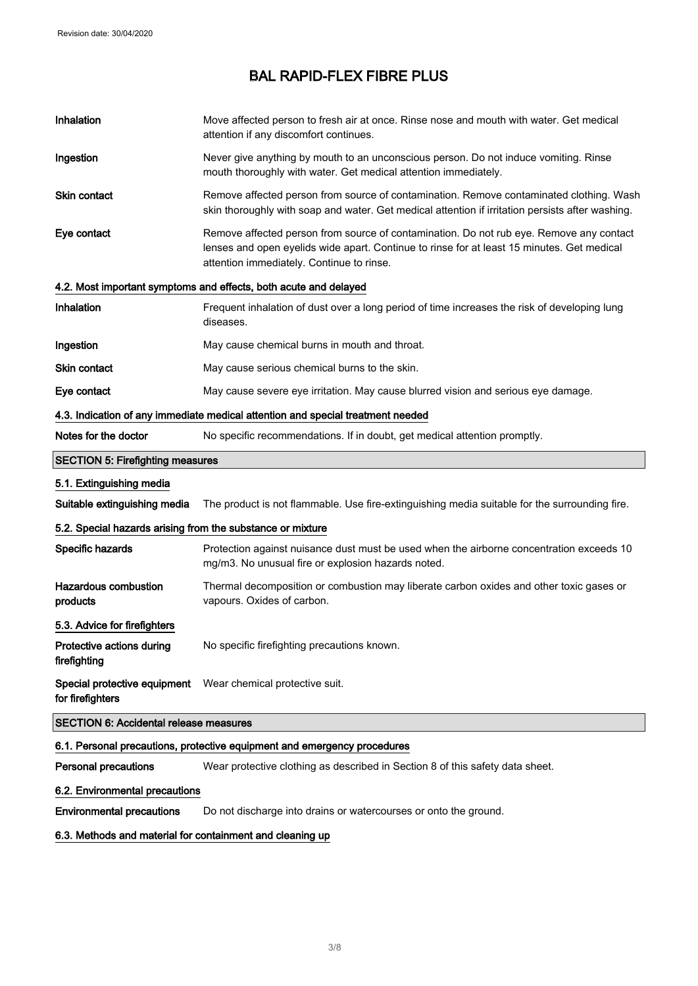| Inhalation                                                 | Move affected person to fresh air at once. Rinse nose and mouth with water. Get medical<br>attention if any discomfort continues.                                                                                                  |
|------------------------------------------------------------|------------------------------------------------------------------------------------------------------------------------------------------------------------------------------------------------------------------------------------|
| Ingestion                                                  | Never give anything by mouth to an unconscious person. Do not induce vomiting. Rinse<br>mouth thoroughly with water. Get medical attention immediately.                                                                            |
| <b>Skin contact</b>                                        | Remove affected person from source of contamination. Remove contaminated clothing. Wash<br>skin thoroughly with soap and water. Get medical attention if irritation persists after washing.                                        |
| Eye contact                                                | Remove affected person from source of contamination. Do not rub eye. Remove any contact<br>lenses and open eyelids wide apart. Continue to rinse for at least 15 minutes. Get medical<br>attention immediately. Continue to rinse. |
|                                                            | 4.2. Most important symptoms and effects, both acute and delayed                                                                                                                                                                   |
| Inhalation                                                 | Frequent inhalation of dust over a long period of time increases the risk of developing lung<br>diseases.                                                                                                                          |
| Ingestion                                                  | May cause chemical burns in mouth and throat.                                                                                                                                                                                      |
| <b>Skin contact</b>                                        | May cause serious chemical burns to the skin.                                                                                                                                                                                      |
| Eye contact                                                | May cause severe eye irritation. May cause blurred vision and serious eye damage.                                                                                                                                                  |
|                                                            | 4.3. Indication of any immediate medical attention and special treatment needed                                                                                                                                                    |
| Notes for the doctor                                       | No specific recommendations. If in doubt, get medical attention promptly.                                                                                                                                                          |
| <b>SECTION 5: Firefighting measures</b>                    |                                                                                                                                                                                                                                    |
| 5.1. Extinguishing media                                   |                                                                                                                                                                                                                                    |
| Suitable extinguishing media                               | The product is not flammable. Use fire-extinguishing media suitable for the surrounding fire.                                                                                                                                      |
| 5.2. Special hazards arising from the substance or mixture |                                                                                                                                                                                                                                    |
| Specific hazards                                           | Protection against nuisance dust must be used when the airborne concentration exceeds 10<br>mg/m3. No unusual fire or explosion hazards noted.                                                                                     |
| <b>Hazardous combustion</b><br>products                    | Thermal decomposition or combustion may liberate carbon oxides and other toxic gases or<br>vapours. Oxides of carbon.                                                                                                              |
| 5.3. Advice for firefighters                               |                                                                                                                                                                                                                                    |
| Protective actions during<br>firefighting                  | No specific firefighting precautions known.                                                                                                                                                                                        |
| Special protective equipment<br>for firefighters           | Wear chemical protective suit.                                                                                                                                                                                                     |
| <b>SECTION 6: Accidental release measures</b>              |                                                                                                                                                                                                                                    |
|                                                            | 6.1. Personal precautions, protective equipment and emergency procedures                                                                                                                                                           |
| <b>Personal precautions</b>                                | Wear protective clothing as described in Section 8 of this safety data sheet.                                                                                                                                                      |
| 6.2. Environmental precautions                             |                                                                                                                                                                                                                                    |
| <b>Environmental precautions</b>                           | Do not discharge into drains or watercourses or onto the ground.                                                                                                                                                                   |
|                                                            |                                                                                                                                                                                                                                    |

6.3. Methods and material for containment and cleaning up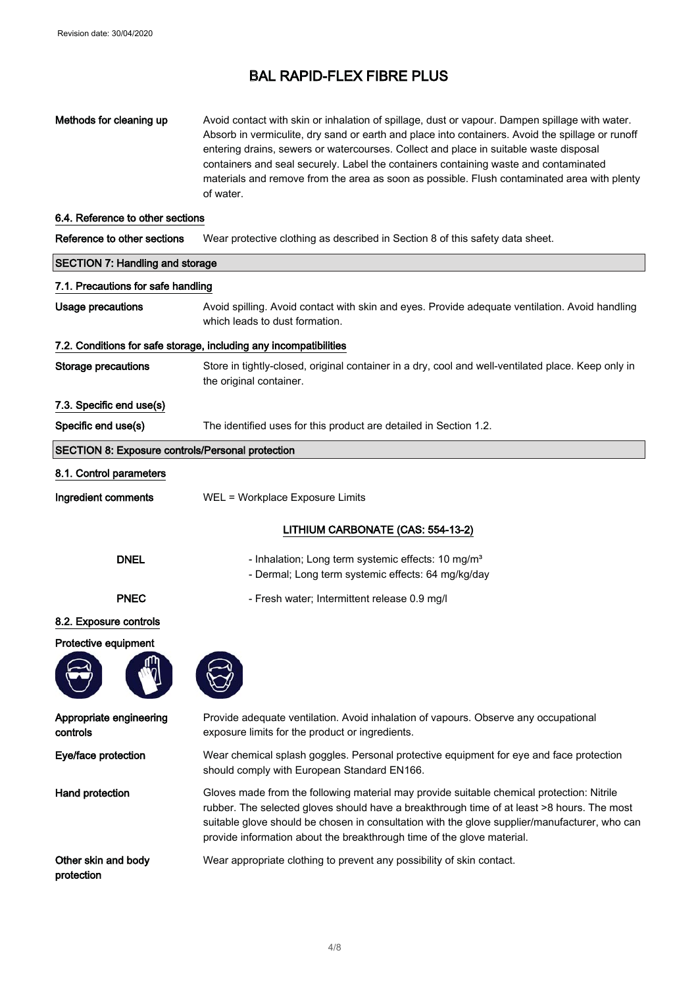| Methods for cleaning up                                 | Avoid contact with skin or inhalation of spillage, dust or vapour. Dampen spillage with water.<br>Absorb in vermiculite, dry sand or earth and place into containers. Avoid the spillage or runoff<br>entering drains, sewers or watercourses. Collect and place in suitable waste disposal<br>containers and seal securely. Label the containers containing waste and contaminated<br>materials and remove from the area as soon as possible. Flush contaminated area with plenty<br>of water. |  |
|---------------------------------------------------------|-------------------------------------------------------------------------------------------------------------------------------------------------------------------------------------------------------------------------------------------------------------------------------------------------------------------------------------------------------------------------------------------------------------------------------------------------------------------------------------------------|--|
| 6.4. Reference to other sections                        |                                                                                                                                                                                                                                                                                                                                                                                                                                                                                                 |  |
| Reference to other sections                             | Wear protective clothing as described in Section 8 of this safety data sheet.                                                                                                                                                                                                                                                                                                                                                                                                                   |  |
| <b>SECTION 7: Handling and storage</b>                  |                                                                                                                                                                                                                                                                                                                                                                                                                                                                                                 |  |
| 7.1. Precautions for safe handling                      |                                                                                                                                                                                                                                                                                                                                                                                                                                                                                                 |  |
| <b>Usage precautions</b>                                | Avoid spilling. Avoid contact with skin and eyes. Provide adequate ventilation. Avoid handling<br>which leads to dust formation.                                                                                                                                                                                                                                                                                                                                                                |  |
|                                                         | 7.2. Conditions for safe storage, including any incompatibilities                                                                                                                                                                                                                                                                                                                                                                                                                               |  |
| <b>Storage precautions</b>                              | Store in tightly-closed, original container in a dry, cool and well-ventilated place. Keep only in<br>the original container.                                                                                                                                                                                                                                                                                                                                                                   |  |
| 7.3. Specific end use(s)                                |                                                                                                                                                                                                                                                                                                                                                                                                                                                                                                 |  |
| Specific end use(s)                                     | The identified uses for this product are detailed in Section 1.2.                                                                                                                                                                                                                                                                                                                                                                                                                               |  |
| <b>SECTION 8: Exposure controls/Personal protection</b> |                                                                                                                                                                                                                                                                                                                                                                                                                                                                                                 |  |
| 8.1. Control parameters                                 |                                                                                                                                                                                                                                                                                                                                                                                                                                                                                                 |  |
| Ingredient comments                                     | WEL = Workplace Exposure Limits                                                                                                                                                                                                                                                                                                                                                                                                                                                                 |  |
|                                                         | LITHIUM CARBONATE (CAS: 554-13-2)                                                                                                                                                                                                                                                                                                                                                                                                                                                               |  |
| <b>DNEL</b>                                             | - Inhalation; Long term systemic effects: 10 mg/m <sup>3</sup><br>- Dermal; Long term systemic effects: 64 mg/kg/day                                                                                                                                                                                                                                                                                                                                                                            |  |
| <b>PNEC</b>                                             | - Fresh water; Intermittent release 0.9 mg/l                                                                                                                                                                                                                                                                                                                                                                                                                                                    |  |
| 8.2. Exposure controls                                  |                                                                                                                                                                                                                                                                                                                                                                                                                                                                                                 |  |
| Protective equipment                                    |                                                                                                                                                                                                                                                                                                                                                                                                                                                                                                 |  |
|                                                         |                                                                                                                                                                                                                                                                                                                                                                                                                                                                                                 |  |
| Appropriate engineering<br>controls                     | Provide adequate ventilation. Avoid inhalation of vapours. Observe any occupational<br>exposure limits for the product or ingredients.                                                                                                                                                                                                                                                                                                                                                          |  |
| Eye/face protection                                     | Wear chemical splash goggles. Personal protective equipment for eye and face protection<br>should comply with European Standard EN166.                                                                                                                                                                                                                                                                                                                                                          |  |
| Hand protection                                         | Gloves made from the following material may provide suitable chemical protection: Nitrile<br>rubber. The selected gloves should have a breakthrough time of at least >8 hours. The most<br>suitable glove should be chosen in consultation with the glove supplier/manufacturer, who can<br>provide information about the breakthrough time of the glove material.                                                                                                                              |  |
| Other skin and body<br>protection                       | Wear appropriate clothing to prevent any possibility of skin contact.                                                                                                                                                                                                                                                                                                                                                                                                                           |  |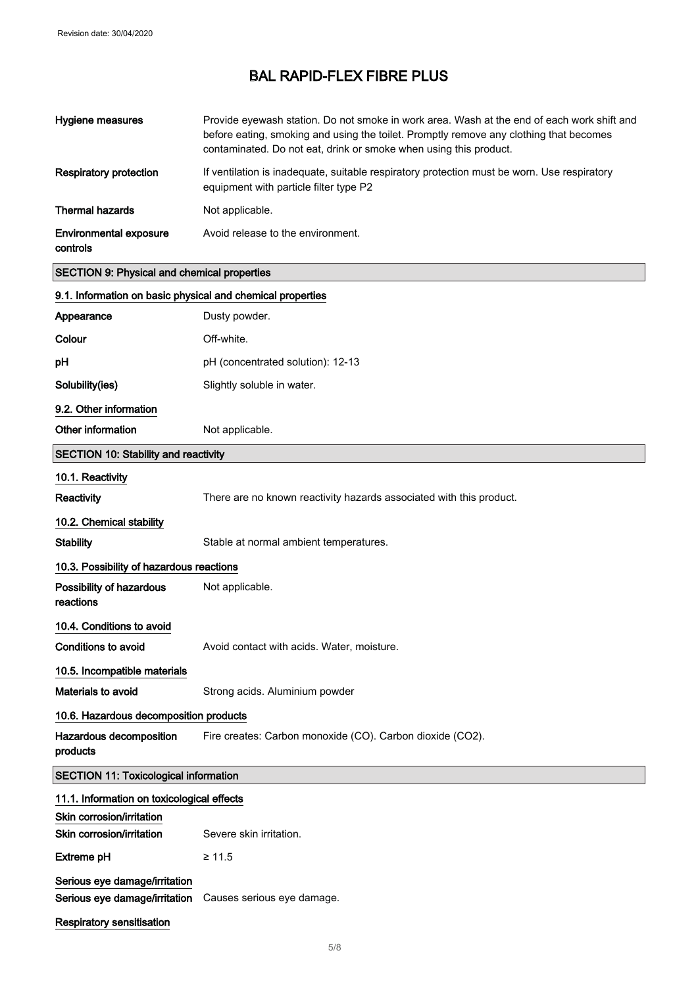| <b>Hygiene measures</b>                                        | Provide eyewash station. Do not smoke in work area. Wash at the end of each work shift and<br>before eating, smoking and using the toilet. Promptly remove any clothing that becomes<br>contaminated. Do not eat, drink or smoke when using this product. |  |
|----------------------------------------------------------------|-----------------------------------------------------------------------------------------------------------------------------------------------------------------------------------------------------------------------------------------------------------|--|
| <b>Respiratory protection</b>                                  | If ventilation is inadequate, suitable respiratory protection must be worn. Use respiratory<br>equipment with particle filter type P2                                                                                                                     |  |
| <b>Thermal hazards</b>                                         | Not applicable.                                                                                                                                                                                                                                           |  |
| <b>Environmental exposure</b><br>controls                      | Avoid release to the environment.                                                                                                                                                                                                                         |  |
| <b>SECTION 9: Physical and chemical properties</b>             |                                                                                                                                                                                                                                                           |  |
| 9.1. Information on basic physical and chemical properties     |                                                                                                                                                                                                                                                           |  |
| Appearance                                                     | Dusty powder.                                                                                                                                                                                                                                             |  |
| Colour                                                         | Off-white.                                                                                                                                                                                                                                                |  |
| pH                                                             | pH (concentrated solution): 12-13                                                                                                                                                                                                                         |  |
| Solubility(ies)                                                | Slightly soluble in water.                                                                                                                                                                                                                                |  |
| 9.2. Other information                                         |                                                                                                                                                                                                                                                           |  |
| Other information                                              | Not applicable.                                                                                                                                                                                                                                           |  |
| <b>SECTION 10: Stability and reactivity</b>                    |                                                                                                                                                                                                                                                           |  |
| 10.1. Reactivity                                               |                                                                                                                                                                                                                                                           |  |
| <b>Reactivity</b>                                              | There are no known reactivity hazards associated with this product.                                                                                                                                                                                       |  |
| 10.2. Chemical stability                                       |                                                                                                                                                                                                                                                           |  |
| <b>Stability</b>                                               | Stable at normal ambient temperatures.                                                                                                                                                                                                                    |  |
| 10.3. Possibility of hazardous reactions                       |                                                                                                                                                                                                                                                           |  |
| Possibility of hazardous<br>reactions                          | Not applicable.                                                                                                                                                                                                                                           |  |
| 10.4. Conditions to avoid                                      |                                                                                                                                                                                                                                                           |  |
| <b>Conditions to avoid</b>                                     | Avoid contact with acids. Water, moisture.                                                                                                                                                                                                                |  |
| 10.5. Incompatible materials                                   |                                                                                                                                                                                                                                                           |  |
| <b>Materials to avoid</b>                                      | Strong acids. Aluminium powder                                                                                                                                                                                                                            |  |
| 10.6. Hazardous decomposition products                         |                                                                                                                                                                                                                                                           |  |
| Hazardous decomposition<br>products                            | Fire creates: Carbon monoxide (CO). Carbon dioxide (CO2).                                                                                                                                                                                                 |  |
| <b>SECTION 11: Toxicological information</b>                   |                                                                                                                                                                                                                                                           |  |
| 11.1. Information on toxicological effects                     |                                                                                                                                                                                                                                                           |  |
| Skin corrosion/irritation<br>Skin corrosion/irritation         | Severe skin irritation.                                                                                                                                                                                                                                   |  |
| <b>Extreme pH</b>                                              | $\geq 11.5$                                                                                                                                                                                                                                               |  |
| Serious eye damage/irritation<br>Serious eye damage/irritation | Causes serious eye damage.                                                                                                                                                                                                                                |  |
| <b>Respiratory sensitisation</b>                               |                                                                                                                                                                                                                                                           |  |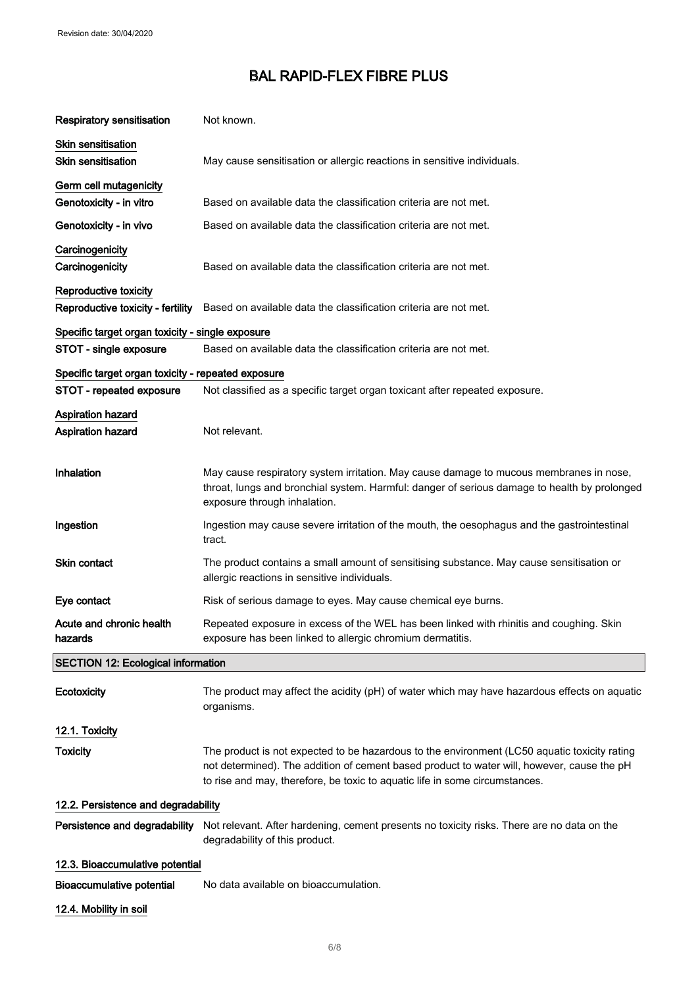| Respiratory sensitisation                                  | Not known.                                                                                                                                                                                                                                                                |  |
|------------------------------------------------------------|---------------------------------------------------------------------------------------------------------------------------------------------------------------------------------------------------------------------------------------------------------------------------|--|
| <b>Skin sensitisation</b><br><b>Skin sensitisation</b>     | May cause sensitisation or allergic reactions in sensitive individuals.                                                                                                                                                                                                   |  |
| Germ cell mutagenicity<br>Genotoxicity - in vitro          | Based on available data the classification criteria are not met.                                                                                                                                                                                                          |  |
| Genotoxicity - in vivo                                     | Based on available data the classification criteria are not met.                                                                                                                                                                                                          |  |
| Carcinogenicity<br>Carcinogenicity                         | Based on available data the classification criteria are not met.                                                                                                                                                                                                          |  |
| Reproductive toxicity<br>Reproductive toxicity - fertility | Based on available data the classification criteria are not met.                                                                                                                                                                                                          |  |
| Specific target organ toxicity - single exposure           |                                                                                                                                                                                                                                                                           |  |
| STOT - single exposure                                     | Based on available data the classification criteria are not met.                                                                                                                                                                                                          |  |
| Specific target organ toxicity - repeated exposure         |                                                                                                                                                                                                                                                                           |  |
| STOT - repeated exposure                                   | Not classified as a specific target organ toxicant after repeated exposure.                                                                                                                                                                                               |  |
| <b>Aspiration hazard</b><br>Aspiration hazard              | Not relevant.                                                                                                                                                                                                                                                             |  |
| <b>Inhalation</b>                                          | May cause respiratory system irritation. May cause damage to mucous membranes in nose,<br>throat, lungs and bronchial system. Harmful: danger of serious damage to health by prolonged<br>exposure through inhalation.                                                    |  |
| Ingestion                                                  | Ingestion may cause severe irritation of the mouth, the oesophagus and the gastrointestinal<br>tract.                                                                                                                                                                     |  |
| Skin contact                                               | The product contains a small amount of sensitising substance. May cause sensitisation or<br>allergic reactions in sensitive individuals.                                                                                                                                  |  |
| Eye contact                                                | Risk of serious damage to eyes. May cause chemical eye burns.                                                                                                                                                                                                             |  |
| Acute and chronic health<br>nazaros                        | Repeated exposure in excess of the WEL has been linked with rhinitis and coughing. Skin<br>exposure has been linked to allergic chromium dermatitis.                                                                                                                      |  |
| <b>SECTION 12: Ecological information</b>                  |                                                                                                                                                                                                                                                                           |  |
| Ecotoxicity                                                | The product may affect the acidity (pH) of water which may have hazardous effects on aquatic<br>organisms.                                                                                                                                                                |  |
| 12.1. Toxicity                                             |                                                                                                                                                                                                                                                                           |  |
| <b>Toxicity</b>                                            | The product is not expected to be hazardous to the environment (LC50 aquatic toxicity rating<br>not determined). The addition of cement based product to water will, however, cause the pH<br>to rise and may, therefore, be toxic to aquatic life in some circumstances. |  |
| 12.2. Persistence and degradability                        |                                                                                                                                                                                                                                                                           |  |
| Persistence and degradability                              | Not relevant. After hardening, cement presents no toxicity risks. There are no data on the<br>degradability of this product.                                                                                                                                              |  |
| 12.3. Bioaccumulative potential                            |                                                                                                                                                                                                                                                                           |  |
| <b>Bioaccumulative potential</b>                           | No data available on bioaccumulation.                                                                                                                                                                                                                                     |  |
| 12.4. Mobility in soil                                     |                                                                                                                                                                                                                                                                           |  |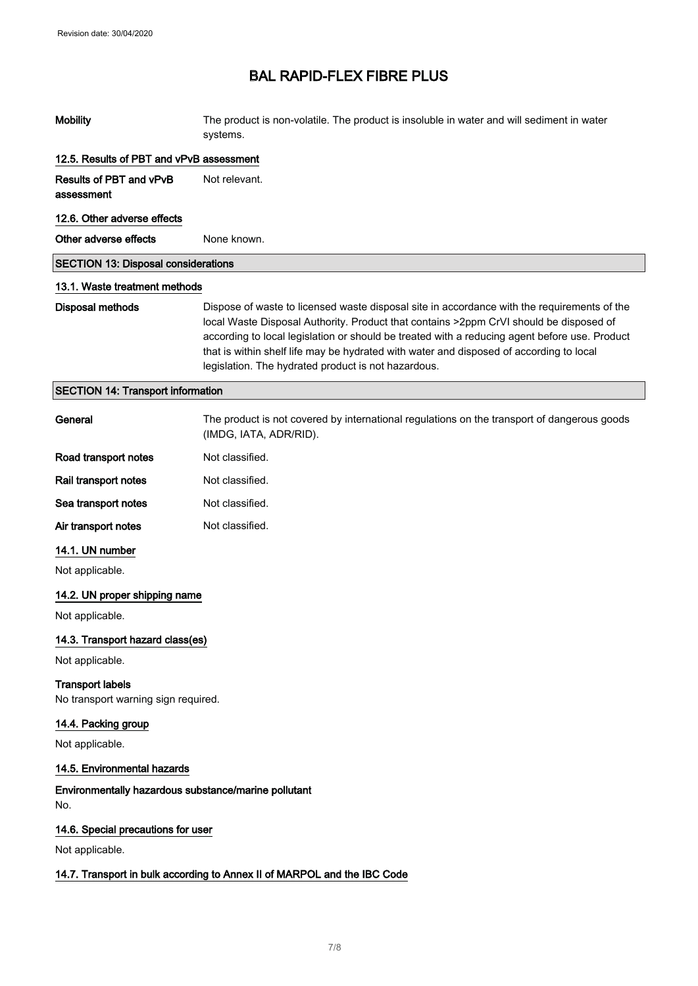| <b>Mobility</b>                                                          | The product is non-volatile. The product is insoluble in water and will sediment in water<br>systems.                                                                                                                                                                                                                                                                                                                                    |  |
|--------------------------------------------------------------------------|------------------------------------------------------------------------------------------------------------------------------------------------------------------------------------------------------------------------------------------------------------------------------------------------------------------------------------------------------------------------------------------------------------------------------------------|--|
| 12.5. Results of PBT and vPvB assessment                                 |                                                                                                                                                                                                                                                                                                                                                                                                                                          |  |
| <b>Results of PBT and vPvB</b><br>assessment                             | Not relevant.                                                                                                                                                                                                                                                                                                                                                                                                                            |  |
| 12.6. Other adverse effects                                              |                                                                                                                                                                                                                                                                                                                                                                                                                                          |  |
| Other adverse effects                                                    | None known.                                                                                                                                                                                                                                                                                                                                                                                                                              |  |
| <b>SECTION 13: Disposal considerations</b>                               |                                                                                                                                                                                                                                                                                                                                                                                                                                          |  |
| 13.1. Waste treatment methods                                            |                                                                                                                                                                                                                                                                                                                                                                                                                                          |  |
| <b>Disposal methods</b>                                                  | Dispose of waste to licensed waste disposal site in accordance with the requirements of the<br>local Waste Disposal Authority. Product that contains >2ppm CrVI should be disposed of<br>according to local legislation or should be treated with a reducing agent before use. Product<br>that is within shelf life may be hydrated with water and disposed of according to local<br>legislation. The hydrated product is not hazardous. |  |
| <b>SECTION 14: Transport information</b>                                 |                                                                                                                                                                                                                                                                                                                                                                                                                                          |  |
| General                                                                  | The product is not covered by international regulations on the transport of dangerous goods<br>(IMDG, IATA, ADR/RID).                                                                                                                                                                                                                                                                                                                    |  |
| Road transport notes                                                     | Not classified.                                                                                                                                                                                                                                                                                                                                                                                                                          |  |
| Rail transport notes                                                     | Not classified.                                                                                                                                                                                                                                                                                                                                                                                                                          |  |
| Sea transport notes                                                      | Not classified.                                                                                                                                                                                                                                                                                                                                                                                                                          |  |
| Air transport notes                                                      | Not classified.                                                                                                                                                                                                                                                                                                                                                                                                                          |  |
| 14.1. UN number                                                          |                                                                                                                                                                                                                                                                                                                                                                                                                                          |  |
| Not applicable.                                                          |                                                                                                                                                                                                                                                                                                                                                                                                                                          |  |
| 14.2. UN proper shipping name                                            |                                                                                                                                                                                                                                                                                                                                                                                                                                          |  |
| Not applicable.                                                          |                                                                                                                                                                                                                                                                                                                                                                                                                                          |  |
| 14.3. Transport hazard class(es)                                         |                                                                                                                                                                                                                                                                                                                                                                                                                                          |  |
| Not applicable.                                                          |                                                                                                                                                                                                                                                                                                                                                                                                                                          |  |
| <b>Transport labels</b><br>No transport warning sign required.           |                                                                                                                                                                                                                                                                                                                                                                                                                                          |  |
| 14.4. Packing group                                                      |                                                                                                                                                                                                                                                                                                                                                                                                                                          |  |
| Not applicable.                                                          |                                                                                                                                                                                                                                                                                                                                                                                                                                          |  |
| 14.5. Environmental hazards                                              |                                                                                                                                                                                                                                                                                                                                                                                                                                          |  |
| Environmentally hazardous substance/marine pollutant<br>No.              |                                                                                                                                                                                                                                                                                                                                                                                                                                          |  |
| 14.6. Special precautions for user                                       |                                                                                                                                                                                                                                                                                                                                                                                                                                          |  |
| Not applicable.                                                          |                                                                                                                                                                                                                                                                                                                                                                                                                                          |  |
| 14.7. Transport in bulk according to Annex II of MARPOL and the IBC Code |                                                                                                                                                                                                                                                                                                                                                                                                                                          |  |
|                                                                          |                                                                                                                                                                                                                                                                                                                                                                                                                                          |  |